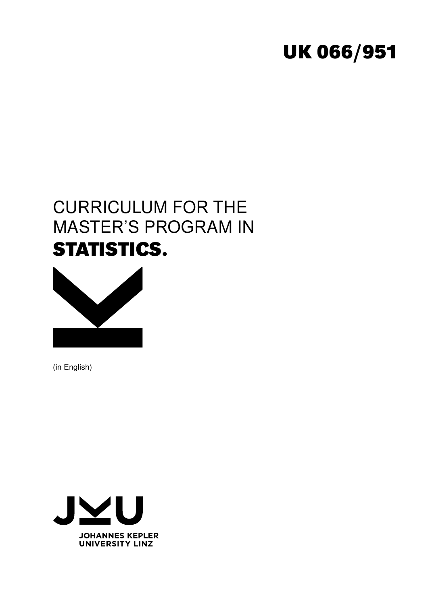# **UK 066/951**

# CURRICULUM FOR THE MASTER'S PROGRAM IN **STATISTICS.**



(in English)

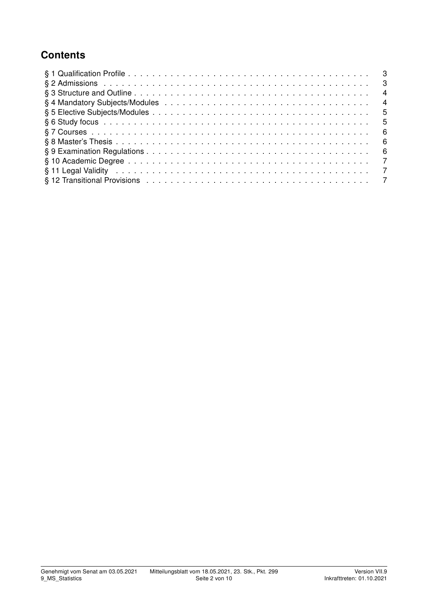# **Contents**

| $\overline{4}$ |  |
|----------------|--|
| $\overline{4}$ |  |
|                |  |
| - 5            |  |
| - 6            |  |
| - 6            |  |
| - 6            |  |
|                |  |
| $\overline{7}$ |  |
|                |  |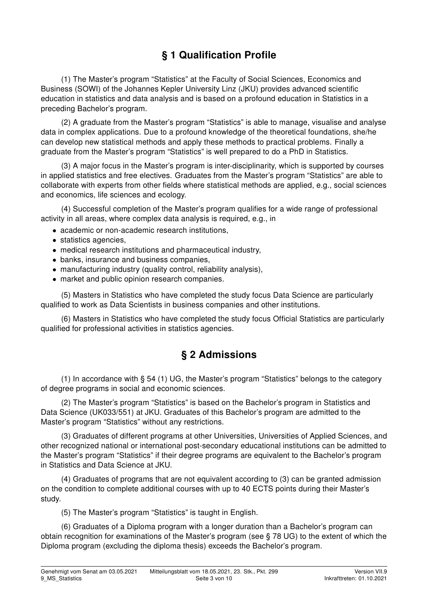# § 1 Qualification Profile

(1) The Master's program "Statistics" at the Faculty of Social Sciences, Economics and Business (SOWI) of the Johannes Kepler University Linz (JKU) provides advanced scientific education in statistics and data analysis and is based on a profound education in Statistics in a preceding Bachelor's program.

(2) A graduate from the Master's program "Statistics" is able to manage, visualise and analyse data in complex applications. Due to a profound knowledge of the theoretical foundations, she/he can develop new statistical methods and apply these methods to practical problems. Finally a graduate from the Master's program "Statistics" is well prepared to do a PhD in Statistics.

(3) A major focus in the Master's program is inter-disciplinarity, which is supported by courses in applied statistics and free electives. Graduates from the Master's program "Statistics" are able to collaborate with experts from other fields where statistical methods are applied, e.g., social sciences and economics, life sciences and ecology.

(4) Successful completion of the Master's program qualifies for a wide range of professional activity in all areas, where complex data analysis is required, e.g., in

- academic or non-academic research institutions,
- statistics agencies,
- medical research institutions and pharmaceutical industry,
- banks, insurance and business companies,
- manufacturing industry (quality control, reliability analysis),
- market and public opinion research companies.

(5) Masters in Statistics who have completed the study focus Data Science are particularly qualified to work as Data Scientists in business companies and other institutions.

(6) Masters in Statistics who have completed the study focus Official Statistics are particularly qualified for professional activities in statistics agencies.

#### § 2 Admissions

(1) In accordance with § 54 (1) UG, the Master's program "Statistics" belongs to the category of degree programs in social and economic sciences.

(2) The Master's program "Statistics" is based on the Bachelor's program in Statistics and Data Science (UK033/551) at JKU. Graduates of this Bachelor's program are admitted to the Master's program "Statistics" without any restrictions.

(3) Graduates of different programs at other Universities, Universities of Applied Sciences, and other recognized national or international post-secondary educational institutions can be admitted to the Master's program "Statistics" if their degree programs are equivalent to the Bachelor's program in Statistics and Data Science at JKU.

(4) Graduates of programs that are not equivalent according to (3) can be granted admission on the condition to complete additional courses with up to 40 ECTS points during their Master's study.

(5) The Master's program "Statistics" is taught in English.

(6) Graduates of a Diploma program with a longer duration than a Bachelor's program can obtain recognition for examinations of the Master's program (see § 78 UG) to the extent of which the Diploma program (excluding the diploma thesis) exceeds the Bachelor's program.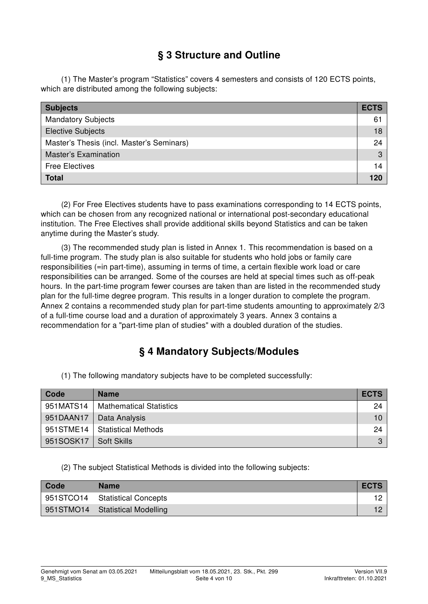# § 3 Structure and Outline

(1) The Master's program "Statistics" covers 4 semesters and consists of 120 ECTS points, which are distributed among the following subjects:

| <b>Subjects</b>                           | <b>ECTS</b> |
|-------------------------------------------|-------------|
| <b>Mandatory Subjects</b>                 | 61          |
| <b>Elective Subjects</b>                  | 18          |
| Master's Thesis (incl. Master's Seminars) | 24          |
| <b>Master's Examination</b>               | 3           |
| <b>Free Electives</b>                     | 14          |
| <b>Total</b>                              | 120         |

(2) For Free Electives students have to pass examinations corresponding to 14 ECTS points, which can be chosen from any recognized national or international post-secondary educational institution. The Free Electives shall provide additional skills beyond Statistics and can be taken anytime during the Master's study.

(3) The recommended study plan is listed in Annex 1. This recommendation is based on a full-time program. The study plan is also suitable for students who hold jobs or family care responsibilities (=in part-time), assuming in terms of time, a certain flexible work load or care responsibilities can be arranged. Some of the courses are held at special times such as off-peak hours. In the part-time program fewer courses are taken than are listed in the recommended study plan for the full-time degree program. This results in a longer duration to complete the program. Annex 2 contains a recommended study plan for part-time students amounting to approximately 2/3 of a full-time course load and a duration of approximately 3 years. Annex 3 contains a recommendation for a "part-time plan of studies" with a doubled duration of the studies.

#### § 4 Mandatory Subjects/Modules

(1) The following mandatory subjects have to be completed successfully:

| Code      | <b>Name</b>                     | <b>ECTS</b> |
|-----------|---------------------------------|-------------|
| 951MATS14 | <b>Mathematical Statistics</b>  | 24          |
| 951DAAN17 | <b>Data Analysis</b>            | $10-1$      |
|           | 951STME14   Statistical Methods | 24          |
| 951SOSK17 | <b>Soft Skills</b>              | 3           |

(2) The subject Statistical Methods is divided into the following subjects:

| Code | <b>Name</b>                       | <b>ECTS</b> |
|------|-----------------------------------|-------------|
|      | 951STCO14   Statistical Concepts  |             |
|      | 951STMO14   Statistical Modelling |             |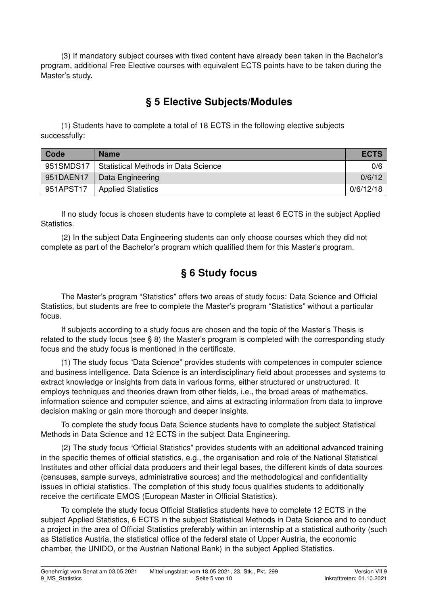(3) If mandatory subject courses with fixed content have already been taken in the Bachelor's program, additional Free Elective courses with equivalent ECTS points have to be taken during the Master's study.

#### § 5 Elective Subjects/Modules

(1) Students have to complete a total of 18 ECTS in the following elective subjects successfully:

| Code      | <b>Name</b>                         | <b>ECTS</b> |
|-----------|-------------------------------------|-------------|
| 951SMDS17 | Statistical Methods in Data Science | 0/6         |
| 951DAEN17 | Data Engineering                    | 0/6/12      |
| 951APST17 | <b>Applied Statistics</b>           | 0/6/12/18   |

If no study focus is chosen students have to complete at least 6 ECTS in the subject Applied Statistics.

(2) In the subject Data Engineering students can only choose courses which they did not complete as part of the Bachelor's program which qualified them for this Master's program.

## § 6 Study focus

The Master's program "Statistics" offers two areas of study focus: Data Science and Official Statistics, but students are free to complete the Master's program "Statistics" without a particular focus.

If subjects according to a study focus are chosen and the topic of the Master's Thesis is related to the study focus (see § 8) the Master's program is completed with the corresponding study focus and the study focus is mentioned in the certificate.

(1) The study focus "Data Science" provides students with competences in computer science and business intelligence. Data Science is an interdisciplinary field about processes and systems to extract knowledge or insights from data in various forms, either structured or unstructured. It employs techniques and theories drawn from other fields, i.e., the broad areas of mathematics, information science and computer science, and aims at extracting information from data to improve decision making or gain more thorough and deeper insights.

To complete the study focus Data Science students have to complete the subject Statistical Methods in Data Science and 12 ECTS in the subject Data Engineering.

(2) The study focus "Official Statistics" provides students with an additional advanced training in the specific themes of official statistics, e.g., the organisation and role of the National Statistical Institutes and other official data producers and their legal bases, the different kinds of data sources (censuses, sample surveys, administrative sources) and the methodological and confidentiality issues in official statistics. The completion of this study focus qualifies students to additionally receive the certificate EMOS (European Master in Official Statistics).

To complete the study focus Official Statistics students have to complete 12 ECTS in the subject Applied Statistics, 6 ECTS in the subject Statistical Methods in Data Science and to conduct a project in the area of Official Statistics preferably within an internship at a statistical authority (such as Statistics Austria, the statistical office of the federal state of Upper Austria, the economic chamber, the UNIDO, or the Austrian National Bank) in the subject Applied Statistics.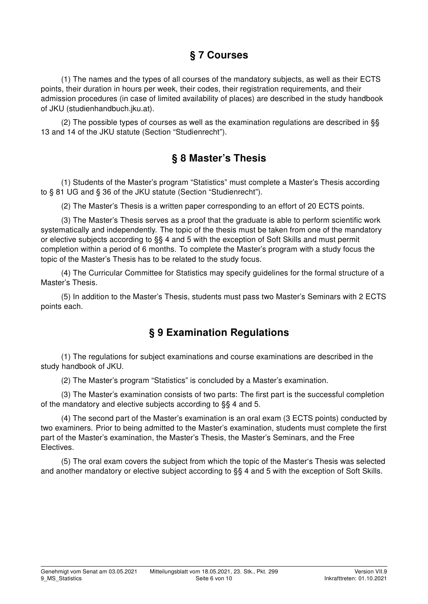## § 7 Courses

(1) The names and the types of all courses of the mandatory subjects, as well as their ECTS points, their duration in hours per week, their codes, their registration requirements, and their admission procedures (in case of limited availability of places) are described in the study handbook of JKU (studienhandbuch.jku.at).

(2) The possible types of courses as well as the examination regulations are described in §§ 13 and 14 of the JKU statute (Section "Studienrecht").

#### § 8 Master's Thesis

(1) Students of the Master's program "Statistics" must complete a Master's Thesis according to § 81 UG and § 36 of the JKU statute (Section "Studienrecht").

(2) The Master's Thesis is a written paper corresponding to an effort of 20 ECTS points.

(3) The Master's Thesis serves as a proof that the graduate is able to perform scientific work systematically and independently. The topic of the thesis must be taken from one of the mandatory or elective subjects according to §§ 4 and 5 with the exception of Soft Skills and must permit completion within a period of 6 months. To complete the Master's program with a study focus the topic of the Master's Thesis has to be related to the study focus.

(4) The Curricular Committee for Statistics may specify guidelines for the formal structure of a Master's Thesis.

(5) In addition to the Master's Thesis, students must pass two Master's Seminars with 2 ECTS points each.

#### § 9 Examination Regulations

(1) The regulations for subject examinations and course examinations are described in the study handbook of JKU.

(2) The Master's program "Statistics" is concluded by a Master's examination.

(3) The Master's examination consists of two parts: The first part is the successful completion of the mandatory and elective subjects according to §§ 4 and 5.

(4) The second part of the Master's examination is an oral exam (3 ECTS points) conducted by two examiners. Prior to being admitted to the Master's examination, students must complete the first part of the Master's examination, the Master's Thesis, the Master's Seminars, and the Free **Electives** 

(5) The oral exam covers the subject from which the topic of the Master's Thesis was selected and another mandatory or elective subject according to §§ 4 and 5 with the exception of Soft Skills.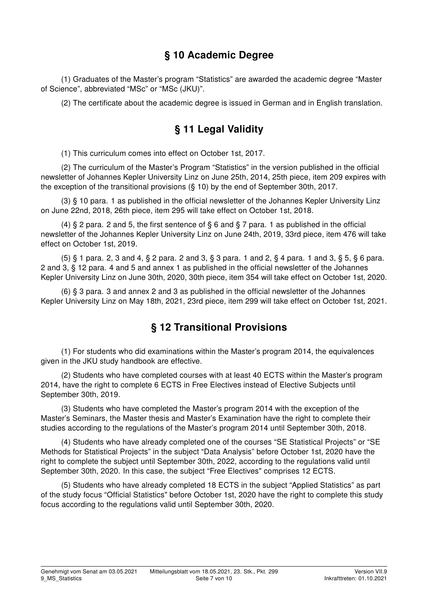#### § 10 Academic Degree

(1) Graduates of the Master's program "Statistics" are awarded the academic degree "Master of Science", abbreviated "MSc" or "MSc (JKU)".

(2) The certificate about the academic degree is issued in German and in English translation.

# § 11 Legal Validity

(1) This curriculum comes into effect on October 1st, 2017.

(2) The curriculum of the Master's Program "Statistics" in the version published in the official newsletter of Johannes Kepler University Linz on June 25th, 2014, 25th piece, item 209 expires with the exception of the transitional provisions (§ 10) by the end of September 30th, 2017.

(3) § 10 para. 1 as published in the official newsletter of the Johannes Kepler University Linz on June 22nd, 2018, 26th piece, item 295 will take effect on October 1st, 2018.

(4)  $\&$  2 para. 2 and 5, the first sentence of  $\&$  6 and  $\&$  7 para. 1 as published in the official newsletter of the Johannes Kepler University Linz on June 24th, 2019, 33rd piece, item 476 will take effect on October 1st, 2019.

(5) § 1 para. 2, 3 and 4, § 2 para. 2 and 3, § 3 para. 1 and 2, § 4 para. 1 and 3, § 5, § 6 para. 2 and 3, § 12 para. 4 and 5 and annex 1 as published in the official newsletter of the Johannes Kepler University Linz on June 30th, 2020, 30th piece, item 354 will take effect on October 1st, 2020.

(6) § 3 para. 3 and annex 2 and 3 as published in the official newsletter of the Johannes Kepler University Linz on May 18th, 2021, 23rd piece, item 299 will take effect on October 1st, 2021.

# § 12 Transitional Provisions

(1) For students who did examinations within the Master's program 2014, the equivalences given in the JKU study handbook are effective.

(2) Students who have completed courses with at least 40 ECTS within the Master's program 2014, have the right to complete 6 ECTS in Free Electives instead of Elective Subjects until September 30th, 2019.

(3) Students who have completed the Master's program 2014 with the exception of the Master's Seminars, the Master thesis and Master's Examination have the right to complete their studies according to the regulations of the Master's program 2014 until September 30th, 2018.

(4) Students who have already completed one of the courses "SE Statistical Projects" or "SE Methods for Statistical Projects" in the subject "Data Analysis" before October 1st, 2020 have the right to complete the subject until September 30th, 2022, according to the regulations valid until September 30th, 2020. In this case, the subject "Free Electives" comprises 12 ECTS.

(5) Students who have already completed 18 ECTS in the subject "Applied Statistics" as part of the study focus "Official Statistics" before October 1st, 2020 have the right to complete this study focus according to the regulations valid until September 30th, 2020.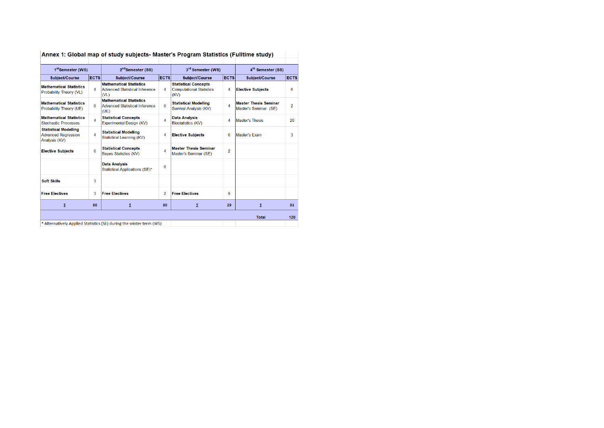| 1 <sup>st</sup> Semester (WS)                                               |             | 2 <sup>nd</sup> Semester (SS)                                            |             | 3rd Semester (WS)                                                      |                | 4 <sup>th</sup> Semester (SS)                         |                |
|-----------------------------------------------------------------------------|-------------|--------------------------------------------------------------------------|-------------|------------------------------------------------------------------------|----------------|-------------------------------------------------------|----------------|
| Subject/Course                                                              | <b>ECTS</b> | Subject/Course                                                           | <b>ECTS</b> | Subject/Course                                                         | <b>ECTS</b>    | Subject/Course                                        | <b>ECTS</b>    |
| <b>Mathematical Statistics</b><br>Probability Theory (VL)                   | 4           | <b>Mathematical Statistics</b><br>Advanced Statistical Inference<br>(VL) | 4           | <b>Statistical Concepts</b><br><b>Computational Statistics</b><br>(KV) | 4              | <b>Elective Subjects</b>                              | 6              |
| <b>Mathematical Statistics</b><br>Probability Theory (UE)                   | 6           | <b>Mathematical Statistics</b><br>Advanced Statistical Inference<br>(UE) | 6           | <b>Statistical Modelling</b><br>Survival Analysis (KV)                 | 4              | <b>Master Thesis Seminar</b><br>Master's Seminar (SE) | $\overline{2}$ |
| <b>Mathematical Statistics</b><br><b>Stochastic Processes</b>               | 4           | <b>Statistical Concepts</b><br>Experimental Design (KV)                  | 4           | <b>Data Analysis</b><br><b>Biostatistics (KV)</b>                      | 4              | <b>Master's Thesis</b>                                | 20             |
| <b>Statistical Modelling</b><br><b>Advanced Regression</b><br>Analysis (KV) | 4           | <b>Statistical Modelling</b><br>Statistical Learning (KV)                | 4           | <b>Elective Subjects</b>                                               | 6              | Master's Exam                                         | 3              |
| <b>Elective Subjects</b>                                                    | 6           | <b>Statistical Concepts</b><br><b>Bayes Statistics (KV)</b>              | 4           | <b>Master Thesis Seminar</b><br>Master's Seminar (SE)                  | $\overline{2}$ |                                                       |                |
|                                                                             |             | <b>Data Analysis</b><br>Statistical Applications (SE)*                   | 6           |                                                                        |                |                                                       |                |
| <b>Soft Skills</b>                                                          | 3           |                                                                          |             |                                                                        |                |                                                       |                |
| <b>Free Electives</b>                                                       | 3           | <b>Free Electives</b>                                                    | 2           | <b>Free Electives</b>                                                  | g              |                                                       |                |
| Σ                                                                           | 30          | Σ                                                                        | 30          | Σ                                                                      | 29             | Σ                                                     | 31             |
|                                                                             |             |                                                                          |             |                                                                        |                | <b>Total</b>                                          | 120            |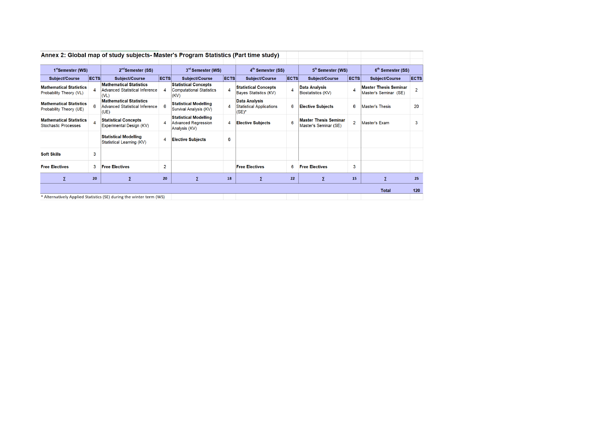|                                                               |                                                                                                                                                                                                                                                                                                                                                                                                                                                                                                                                                                                                                                                                                                                                                                                                                                                                                                                                                                                                                                                                                                                                                                                                                                                                                   | Annex 2: Global map of study subjects- Master's Program Statistics (Part time study) |                               |                       |                               |                               |    |                               |    |                       |             |
|---------------------------------------------------------------|-----------------------------------------------------------------------------------------------------------------------------------------------------------------------------------------------------------------------------------------------------------------------------------------------------------------------------------------------------------------------------------------------------------------------------------------------------------------------------------------------------------------------------------------------------------------------------------------------------------------------------------------------------------------------------------------------------------------------------------------------------------------------------------------------------------------------------------------------------------------------------------------------------------------------------------------------------------------------------------------------------------------------------------------------------------------------------------------------------------------------------------------------------------------------------------------------------------------------------------------------------------------------------------|--------------------------------------------------------------------------------------|-------------------------------|-----------------------|-------------------------------|-------------------------------|----|-------------------------------|----|-----------------------|-------------|
| 1 <sup>st</sup> Semester (WS)                                 |                                                                                                                                                                                                                                                                                                                                                                                                                                                                                                                                                                                                                                                                                                                                                                                                                                                                                                                                                                                                                                                                                                                                                                                                                                                                                   | $2nd$ Semester (SS)                                                                  | 3 <sup>rd</sup> Semester (WS) |                       | 4 <sup>th</sup> Semester (SS) | 5 <sup>th</sup> Semester (WS) |    | 6 <sup>th</sup> Semester (SS) |    |                       |             |
| <b>Subject/Course</b>                                         |                                                                                                                                                                                                                                                                                                                                                                                                                                                                                                                                                                                                                                                                                                                                                                                                                                                                                                                                                                                                                                                                                                                                                                                                                                                                                   | <b>Subject/Course</b>                                                                |                               | <b>Subject/Course</b> |                               | <b>Subject/Course</b>         |    | <b>Subject/Course</b>         |    | <b>Subject/Course</b> | <b>ECTS</b> |
| <b>Mathematical Statistics</b><br>Probability Theory (VL)     | <b>ECTS</b><br><b>ECTS</b><br><b>ECTS</b><br><b>ECTS</b><br><b>ECTS</b><br><b>Mathematical Statistics</b><br><b>Statistical Concepts</b><br><b>Statistical Concepts</b><br><b>Master Thesis Seminar</b><br><b>Data Analysis</b><br>4<br>$\overline{2}$<br>4<br>Advanced Statistical Inference<br>4<br><b>Computational Statistics</b><br>Biostatistics (KV)<br>Bayes Statistics (KV)<br>Master's Seminar (SE)<br>(V <sub>L</sub> )<br>(KV)<br><b>Mathematical Statistics</b><br><b>Data Analysis</b><br><b>Statistical Modelling</b><br>6<br>20<br>6<br><b>Advanced Statistical Inference</b><br><b>Statistical Applications</b><br>6<br>6<br>4<br><b>Elective Subiects</b><br><b>Master's Thesis</b><br>Survival Analysis (KV)<br>$(SE)^*$<br>(UE)<br><b>Statistical Modelling</b><br><b>Master Thesis Seminar</b><br><b>Statistical Concepts</b><br>6<br>$\overline{2}$<br>4<br><b>Advanced Regression</b><br><b>Master's Exam</b><br>3<br><b>Elective Subjects</b><br>4<br>Experimental Design (KV)<br>Master's Seminar (SE)<br>Analysis (KV)<br><b>Statistical Modelling</b><br>6<br><b>Elective Subjects</b><br>$\overline{4}$<br>Statistical Learning (KV)<br>3<br>$\overline{2}$<br>6<br>3<br>3<br><b>Free Electives</b><br><b>Free Electives</b><br><b>Free Electives</b> |                                                                                      |                               |                       |                               |                               |    |                               |    |                       |             |
| <b>Mathematical Statistics</b><br>Probability Theory (UE)     |                                                                                                                                                                                                                                                                                                                                                                                                                                                                                                                                                                                                                                                                                                                                                                                                                                                                                                                                                                                                                                                                                                                                                                                                                                                                                   |                                                                                      |                               |                       |                               |                               |    |                               |    |                       |             |
| <b>Mathematical Statistics</b><br><b>Stochastic Processes</b> |                                                                                                                                                                                                                                                                                                                                                                                                                                                                                                                                                                                                                                                                                                                                                                                                                                                                                                                                                                                                                                                                                                                                                                                                                                                                                   |                                                                                      |                               |                       |                               |                               |    |                               |    |                       |             |
|                                                               |                                                                                                                                                                                                                                                                                                                                                                                                                                                                                                                                                                                                                                                                                                                                                                                                                                                                                                                                                                                                                                                                                                                                                                                                                                                                                   |                                                                                      |                               |                       |                               |                               |    |                               |    |                       |             |
| <b>Soft Skills</b>                                            |                                                                                                                                                                                                                                                                                                                                                                                                                                                                                                                                                                                                                                                                                                                                                                                                                                                                                                                                                                                                                                                                                                                                                                                                                                                                                   |                                                                                      |                               |                       |                               |                               |    |                               |    |                       |             |
| <b>Free Electives</b>                                         |                                                                                                                                                                                                                                                                                                                                                                                                                                                                                                                                                                                                                                                                                                                                                                                                                                                                                                                                                                                                                                                                                                                                                                                                                                                                                   |                                                                                      |                               |                       |                               |                               |    |                               |    |                       |             |
| Σ                                                             | 20                                                                                                                                                                                                                                                                                                                                                                                                                                                                                                                                                                                                                                                                                                                                                                                                                                                                                                                                                                                                                                                                                                                                                                                                                                                                                | Σ                                                                                    | 20                            | Σ                     | 18                            | Σ                             | 22 | Σ                             | 15 | Σ                     | 25          |
|                                                               |                                                                                                                                                                                                                                                                                                                                                                                                                                                                                                                                                                                                                                                                                                                                                                                                                                                                                                                                                                                                                                                                                                                                                                                                                                                                                   |                                                                                      |                               |                       |                               |                               |    |                               |    | <b>Total</b>          | 120         |
|                                                               |                                                                                                                                                                                                                                                                                                                                                                                                                                                                                                                                                                                                                                                                                                                                                                                                                                                                                                                                                                                                                                                                                                                                                                                                                                                                                   | * Alternatively Applied Statistics (SE) during the winter term (WS)                  |                               |                       |                               |                               |    |                               |    |                       |             |